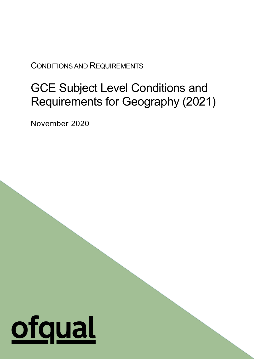CONDITIONS AND REQUIREMENTS

# GCE Subject Level Conditions and Requirements for Geography (2021)

1

November 2020

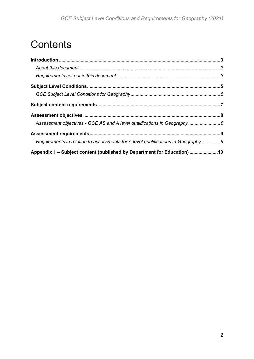# **Contents**

| Assessment objectives - GCE AS and A level qualifications in Geography 8         |  |
|----------------------------------------------------------------------------------|--|
|                                                                                  |  |
| Requirements in relation to assessments for A level qualifications in Geography9 |  |
| Appendix 1 - Subject content (published by Department for Education) 10          |  |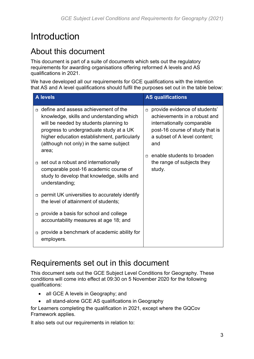# <span id="page-2-0"></span>Introduction

### <span id="page-2-1"></span>About this document

This document is part of a suite of documents which sets out the regulatory requirements for awarding organisations offering reformed A levels and AS qualifications in 2021.

We have developed all our requirements for GCE qualifications with the intention that AS and A level qualifications should fulfil the purposes set out in the table below:

| <b>A</b> levels |                                                                                                                                                                                                                                                                            |                                                                                                                                                        | <b>AS qualifications</b>                                                                         |  |
|-----------------|----------------------------------------------------------------------------------------------------------------------------------------------------------------------------------------------------------------------------------------------------------------------------|--------------------------------------------------------------------------------------------------------------------------------------------------------|--------------------------------------------------------------------------------------------------|--|
| $\Box$          | define and assess achievement of the<br>knowledge, skills and understanding which<br>will be needed by students planning to<br>progress to undergraduate study at a UK<br>higher education establishment, particularly<br>(although not only) in the same subject<br>area; | $\Box$<br>internationally comparable<br>a subset of A level content;<br>and<br>enable students to broaden<br>п<br>the range of subjects they<br>study. | provide evidence of students'<br>achievements in a robust and<br>post-16 course of study that is |  |
|                 | set out a robust and internationally<br>comparable post-16 academic course of<br>study to develop that knowledge, skills and<br>understanding;                                                                                                                             |                                                                                                                                                        |                                                                                                  |  |
|                 | $\Box$ permit UK universities to accurately identify<br>the level of attainment of students;                                                                                                                                                                               |                                                                                                                                                        |                                                                                                  |  |
| $\Box$          | provide a basis for school and college<br>accountability measures at age 18; and                                                                                                                                                                                           |                                                                                                                                                        |                                                                                                  |  |
|                 | provide a benchmark of academic ability for<br>employers.                                                                                                                                                                                                                  |                                                                                                                                                        |                                                                                                  |  |

### <span id="page-2-2"></span>Requirements set out in this document

This document sets out the GCE Subject Level Conditions for Geography. These conditions will come into effect at 09:30 on 5 November 2020 for the following qualifications:

- all GCE A levels in Geography; and
- all stand-alone GCE AS qualifications in Geography

for Learners completing the qualification in 2021, except where the GQCov Framework applies.

It also sets out our requirements in relation to: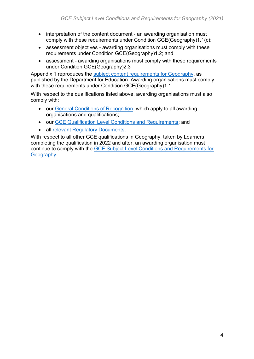- interpretation of the content document an awarding organisation must comply with these requirements under Condition GCE(Geography)1.1(c);
- assessment objectives awarding organisations must comply with these requirements under Condition GCE(Geography)1.2; and
- assessment awarding organisations must comply with these requirements under Condition GCE(Geography)2.3

Appendix 1 reproduces the [subject content requirements for Geography,](https://www.gov.uk/government/publications/gce-as-and-a-level-geography) as published by the Department for Education. Awarding organisations must comply with these requirements under Condition GCE(Geography)1.1.

With respect to the qualifications listed above, awarding organisations must also comply with:

- our [General Conditions of Recognition,](https://www.gov.uk/government/publications/general-conditions-of-recognition) which apply to all awarding organisations and qualifications;
- our [GCE Qualification Level Conditions and Requirements;](https://www.gov.uk/government/publications/gce-qualification-level-conditions-and-requirements) and
- all [relevant Regulatory Documents.](https://www.gov.uk/government/publications/regulatory-documents-list)

With respect to all other GCE qualifications in Geography, taken by Learners completing the qualification in 2022 and after, an awarding organisation must continue to comply with the [GCE Subject Level Conditions and Requirements for](https://www.gov.uk/government/publications/gce-subject-level-conditions-and-requirements-for-geography)  **Geography**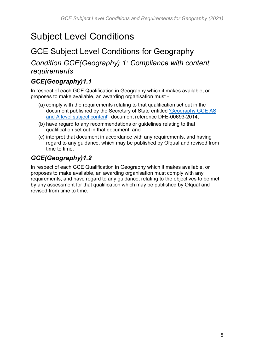# <span id="page-4-0"></span>Subject Level Conditions

### <span id="page-4-1"></span>GCE Subject Level Conditions for Geography

*Condition GCE(Geography) 1: Compliance with content requirements*

#### *GCE(Geography)1.1*

In respect of each GCE Qualification in Geography which it makes available, or proposes to make available, an awarding organisation must -

- (a) comply with the requirements relating to that qualification set out in the document published by the Secretary of State entitled ['Geography GCE AS](https://www.gov.uk/government/publications/gce-as-and-a-level-geography)  [and A level subject content',](https://www.gov.uk/government/publications/gce-as-and-a-level-geography) document reference DFE-00693-2014,
- (b) have regard to any recommendations or guidelines relating to that qualification set out in that document, and
- (c) interpret that document in accordance with any requirements, and having regard to any guidance, which may be published by Ofqual and revised from time to time.

### *GCE(Geography)1.2*

In respect of each GCE Qualification in Geography which it makes available, or proposes to make available, an awarding organisation must comply with any requirements, and have regard to any guidance, relating to the objectives to be met by any assessment for that qualification which may be published by Ofqual and revised from time to time.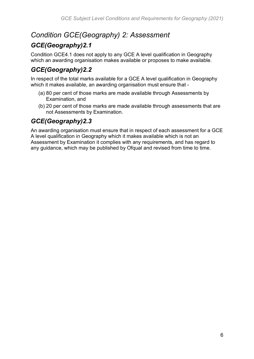### *Condition GCE(Geography) 2: Assessment*

### *GCE(Geography)2.1*

Condition GCE4.1 does not apply to any GCE A level qualification in Geography which an awarding organisation makes available or proposes to make available.

### *GCE(Geography)2.2*

In respect of the total marks available for a GCE A level qualification in Geography which it makes available, an awarding organisation must ensure that -

- (a) 80 per cent of those marks are made available through Assessments by Examination, and
- (b) 20 per cent of those marks are made available through assessments that are not Assessments by Examination.

### *GCE(Geography)2.3*

An awarding organisation must ensure that in respect of each assessment for a GCE A level qualification in Geography which it makes available which is not an Assessment by Examination it complies with any requirements, and has regard to any guidance, which may be published by Ofqual and revised from time to time.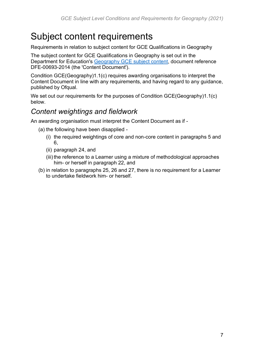# <span id="page-6-0"></span>Subject content requirements

Requirements in relation to subject content for GCE Qualifications in Geography

The subject content for GCE Qualifications in Geography is set out in the Department for Education's [Geography GCE subject content,](https://www.gov.uk/government/publications/gce-as-and-a-level-geography) document reference DFE-00693-2014 (the 'Content Document').

Condition GCE(Geography)1.1(c) requires awarding organisations to interpret the Content Document in line with any requirements, and having regard to any guidance, published by Ofqual.

We set out our requirements for the purposes of Condition GCE(Geography)1.1(c) below.

### *Content weightings and fieldwork*

An awarding organisation must interpret the Content Document as if -

- (a) the following have been disapplied
	- (i) the required weightings of core and non-core content in paragraphs 5 and 6,
	- (ii) paragraph 24, and
	- (iii) the reference to a Learner using a mixture of methodological approaches him- or herself in paragraph 22, and
- (b) in relation to paragraphs 25, 26 and 27, there is no requirement for a Learner to undertake fieldwork him- or herself.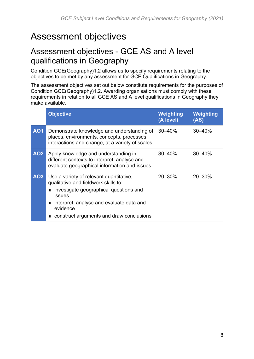# <span id="page-7-0"></span>Assessment objectives

### <span id="page-7-1"></span>Assessment objectives - GCE AS and A level qualifications in Geography

Condition GCE(Geography)1.2 allows us to specify requirements relating to the objectives to be met by any assessment for GCE Qualifications in Geography.

The assessment objectives set out below constitute requirements for the purposes of Condition GCE(Geography)1.2. Awarding organisations must comply with these requirements in relation to all GCE AS and A level qualifications in Geography they make available.

|            | <b>Objective</b>                                                                                                                                                                                                                                               | <b>Weighting</b><br>(A level) | Weighting<br>(AS) |
|------------|----------------------------------------------------------------------------------------------------------------------------------------------------------------------------------------------------------------------------------------------------------------|-------------------------------|-------------------|
| <b>AO1</b> | Demonstrate knowledge and understanding of<br>places, environments, concepts, processes,<br>interactions and change, at a variety of scales                                                                                                                    | $30 - 40%$                    | 30-40%            |
| <b>AO2</b> | Apply knowledge and understanding in<br>different contexts to interpret, analyse and<br>evaluate geographical information and issues                                                                                                                           | 30-40%                        | $30 - 40%$        |
| A03        | Use a variety of relevant quantitative,<br>qualitative and fieldwork skills to:<br>investigate geographical questions and<br>$\blacksquare$<br>issues<br>interpret, analyse and evaluate data and<br>evidence<br>construct arguments and draw conclusions<br>■ | 20-30%                        | 20-30%            |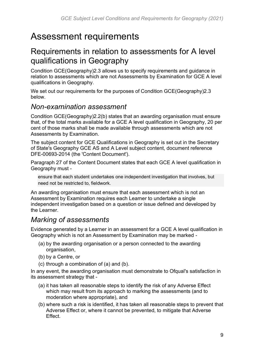## <span id="page-8-0"></span>Assessment requirements

### <span id="page-8-1"></span>Requirements in relation to assessments for A level qualifications in Geography

Condition GCE(Geography)2.3 allows us to specify requirements and guidance in relation to assessments which are not Assessments by Examination for GCE A level qualifications in Geography.

We set out our requirements for the purposes of Condition GCE(Geography)2.3 below.

#### *Non-examination assessment*

Condition GCE(Geography)2.2(b) states that an awarding organisation must ensure that, of the total marks available for a GCE A level qualification in Geography, 20 per cent of those marks shall be made available through assessments which are not Assessments by Examination.

The subject content for GCE Qualifications in Geography is set out in the Secretary of State's Geography GCE AS and A Level subject content, document reference DFE-00693-2014 (the 'Content Document').

Paragraph 27 of the Content Document states that each GCE A level qualification in Geography must -

ensure that each student undertakes one independent investigation that involves, but need not be restricted to, fieldwork.

An awarding organisation must ensure that each assessment which is not an Assessment by Examination requires each Learner to undertake a single independent investigation based on a question or issue defined and developed by the Learner.

### *Marking of assessments*

Evidence generated by a Learner in an assessment for a GCE A level qualification in Geography which is not an Assessment by Examination may be marked -

- (a) by the awarding organisation or a person connected to the awarding organisation,
- (b) by a Centre, or
- (c) through a combination of (a) and (b).

In any event, the awarding organisation must demonstrate to Ofqual's satisfaction in its assessment strategy that -

- (a) it has taken all reasonable steps to identify the risk of any Adverse Effect which may result from its approach to marking the assessments (and to moderation where appropriate), and
- (b) where such a risk is identified, it has taken all reasonable steps to prevent that Adverse Effect or, where it cannot be prevented, to mitigate that Adverse Effect.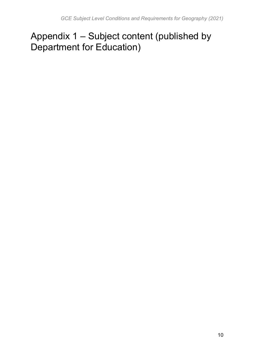# <span id="page-9-0"></span>Appendix 1 – Subject content (published by Department for Education)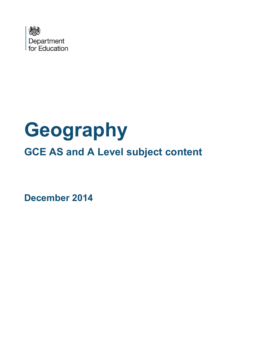

# **Geography GCE AS and A Level subject content**

**December 2014**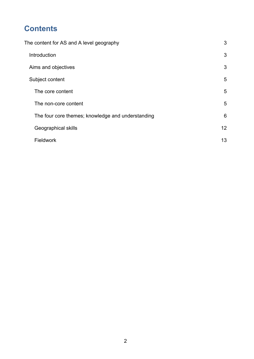### **Contents**

| The content for AS and A level geography          |    |
|---------------------------------------------------|----|
| Introduction                                      | 3  |
| Aims and objectives                               | 3  |
| Subject content                                   | 5  |
| The core content                                  | 5  |
| The non-core content                              | 5  |
| The four core themes; knowledge and understanding | 6  |
| Geographical skills                               | 12 |
| Fieldwork                                         | 13 |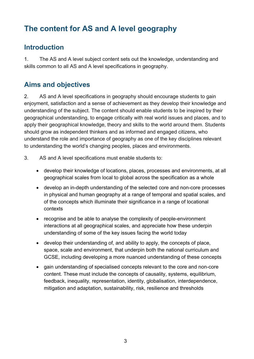### <span id="page-12-0"></span>**The content for AS and A level geography**

#### <span id="page-12-1"></span>**Introduction**

1. The AS and A level subject content sets out the knowledge, understanding and skills common to all AS and A level specifications in geography.

### <span id="page-12-2"></span>**Aims and objectives**

2. AS and A level specifications in geography should encourage students to gain enjoyment, satisfaction and a sense of achievement as they develop their knowledge and understanding of the subject. The content should enable students to be inspired by their geographical understanding, to engage critically with real world issues and places, and to apply their geographical knowledge, theory and skills to the world around them. Students should grow as independent thinkers and as informed and engaged citizens, who understand the role and importance of geography as one of the key disciplines relevant to understanding the world's changing peoples, places and environments.

- 3. AS and A level specifications must enable students to:
	- develop their knowledge of locations, places, processes and environments, at all geographical scales from local to global across the specification as a whole
	- develop an in-depth understanding of the selected core and non-core processes in physical and human geography at a range of temporal and spatial scales, and of the concepts which illuminate their significance in a range of locational contexts
	- recognise and be able to analyse the complexity of people-environment interactions at all geographical scales, and appreciate how these underpin understanding of some of the key issues facing the world today
	- develop their understanding of, and ability to apply, the concepts of place, space, scale and environment, that underpin both the national curriculum and GCSE, including developing a more nuanced understanding of these concepts
	- gain understanding of specialised concepts relevant to the core and non-core content. These must include the concepts of causality, systems, equilibrium, feedback, inequality, representation, identity, globalisation, interdependence, mitigation and adaptation, sustainability, risk, resilience and thresholds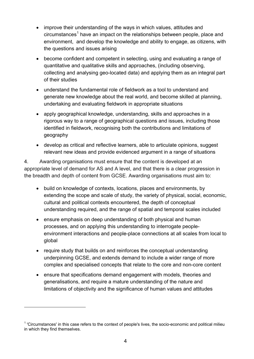- improve their understanding of the ways in which values, attitudes and circumstances<sup>[1](#page-13-0)</sup> have an impact on the relationships between people, place and environment, and develop the knowledge and ability to engage, as citizens, with the questions and issues arising
- become confident and competent in selecting, using and evaluating a range of quantitative and qualitative skills and approaches, (including observing, collecting and analysing geo-located data) and applying them as an integral part of their studies
- understand the fundamental role of fieldwork as a tool to understand and generate new knowledge about the real world, and become skilled at planning, undertaking and evaluating fieldwork in appropriate situations
- apply geographical knowledge, understanding, skills and approaches in a rigorous way to a range of geographical questions and issues, including those identified in fieldwork, recognising both the contributions and limitations of geography
- develop as critical and reflective learners, able to articulate opinions, suggest relevant new ideas and provide evidenced argument in a range of situations

4. Awarding organisations must ensure that the content is developed at an appropriate level of demand for AS and A level, and that there is a clear progression in the breadth and depth of content from GCSE. Awarding organisations must aim to:

- build on knowledge of contexts, locations, places and environments, by extending the scope and scale of study, the variety of physical, social, economic, cultural and political contexts encountered, the depth of conceptual understanding required, and the range of spatial and temporal scales included
- ensure emphasis on deep understanding of both physical and human processes, and on applying this understanding to interrogate peopleenvironment interactions and people-place connections at all scales from local to global
- require study that builds on and reinforces the conceptual understanding underpinning GCSE, and extends demand to include a wider range of more complex and specialised concepts that relate to the core and non-core content
- ensure that specifications demand engagement with models, theories and generalisations, and require a mature understanding of the nature and limitations of objectivity and the significance of human values and attitudes

 $\overline{a}$ 

<span id="page-13-0"></span><sup>1</sup> 'Circumstances' in this case refers to the context of people's lives, the socio-economic and political milieu in which they find themselves.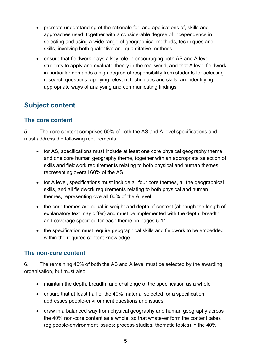- promote understanding of the rationale for, and applications of, skills and approaches used, together with a considerable degree of independence in selecting and using a wide range of geographical methods, techniques and skills, involving both qualitative and quantitative methods
- ensure that fieldwork plays a key role in encouraging both AS and A level students to apply and evaluate theory in the real world, and that A level fieldwork in particular demands a high degree of responsibility from students for selecting research questions, applying relevant techniques and skills, and identifying appropriate ways of analysing and communicating findings

### <span id="page-14-0"></span>**Subject content**

#### <span id="page-14-1"></span>**The core content**

5. The core content comprises 60% of both the AS and A level specifications and must address the following requirements:

- for AS, specifications must include at least one core physical geography theme and one core human geography theme, together with an appropriate selection of skills and fieldwork requirements relating to both physical and human themes, representing overall 60% of the AS
- for A level, specifications must include all four core themes, all the geographical skills, and all fieldwork requirements relating to both physical and human themes, representing overall 60% of the A level
- the core themes are equal in weight and depth of content (although the length of explanatory text may differ) and must be implemented with the depth, breadth and coverage specified for each theme on pages 5-11
- the specification must require geographical skills and fieldwork to be embedded within the required content knowledge

#### <span id="page-14-2"></span>**The non-core content**

6. The remaining 40% of both the AS and A level must be selected by the awarding organisation, but must also:

- maintain the depth, breadth and challenge of the specification as a whole
- ensure that at least half of the 40% material selected for a specification addresses people-environment questions and issues
- draw in a balanced way from physical geography and human geography across the 40% non-core content as a whole, so that whatever form the content takes (eg people-environment issues; process studies, thematic topics) in the 40%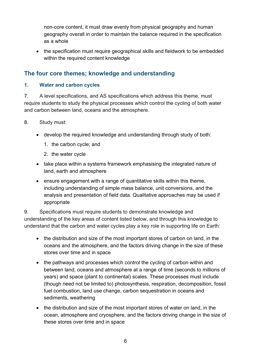non-core content, it must draw evenly from physical geography and human geography overall in order to maintain the balance required in the specification as a whole

• the specification must require geographical skills and fieldwork to be embedded within the required content knowledge

#### <span id="page-15-0"></span>**The four core themes; knowledge and understanding**

#### **1. Water and carbon cycles**

7. A level specifications, and AS specifications which address this theme, must require students to study the physical processes which control the cycling of both water and carbon between land, oceans and the atmosphere.

- 8. Study must:
	- develop the required knowledge and understanding through study of both:
		- 1. the carbon cycle; and
		- 2. the water cycle
	- take place within a systems framework emphasising the integrated nature of land, earth and atmosphere
	- ensure engagement with a range of quantitative skills within this theme, including understanding of simple mass balance, unit conversions, and the analysis and presentation of field data. Qualitative approaches may be used if appropriate

9. Specifications must require students to demonstrate knowledge and understanding of the key areas of content listed below, and through this knowledge to understand that the carbon and water cycles play a key role in supporting life on Earth:

- the distribution and size of the most important stores of carbon on land, in the oceans and the atmosphere, and the factors driving change in the size of these stores over time and in space
- the pathways and processes which control the cycling of carbon within and between land, oceans and atmosphere at a range of time (seconds to millions of years) and space (plant to continental) scales. These processes must include (though need not be limited to) photosynthesis, respiration, decomposition, fossil fuel combustion, land use change, carbon sequestration in oceans and sediments, weathering
- the distribution and size of the most important stores of water on land, in the ocean, atmosphere and cryosphere, and the factors driving change in the size of these stores over time and in space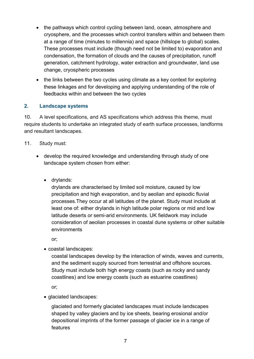- the pathways which control cycling between land, ocean, atmosphere and cryosphere, and the processes which control transfers within and between them at a range of time (minutes to millennia) and space (hillslope to global) scales. These processes must include (though need not be limited to) evaporation and condensation, the formation of clouds and the causes of precipitation, runoff generation, catchment hydrology, water extraction and groundwater, land use change, cryospheric processes
- the links between the two cycles using climate as a key context for exploring these linkages and for developing and applying understanding of the role of feedbacks within and between the two cycles

#### **2. Landscape systems**

10. A level specifications, and AS specifications which address this theme, must require students to undertake an integrated study of earth surface processes, landforms and resultant landscapes.

#### 11. Study must:

- develop the required knowledge and understanding through study of one landscape system chosen from either:
	- drylands:

drylands are characterised by limited soil moisture, caused by low precipitation and high evaporation, and by aeolian and episodic fluvial processes.They occur at all latitudes of the planet. Study must include at least one of: either drylands in high latitude polar regions or mid and low latitude deserts or semi-arid environments. UK fieldwork may include consideration of aeolian processes in coastal dune systems or other suitable environments

or;

• coastal landscapes:

coastal landscapes develop by the interaction of winds, waves and currents, and the sediment supply sourced from terrestrial and offshore sources. Study must include both high energy coasts (such as rocky and sandy coastlines) and low energy coasts (such as estuarine coastlines)

or;

• glaciated landscapes:

glaciated and formerly glaciated landscapes must include landscapes shaped by valley glaciers and by ice sheets, bearing erosional and/or depositional imprints of the former passage of glacier ice in a range of features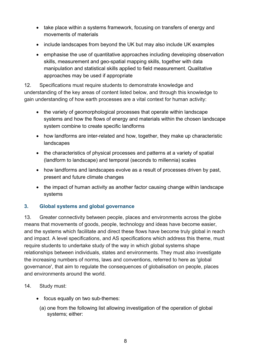- take place within a systems framework, focusing on transfers of energy and movements of materials
- include landscapes from beyond the UK but may also include UK examples
- emphasise the use of quantitative approaches including developing observation skills, measurement and geo-spatial mapping skills, together with data manipulation and statistical skills applied to field measurement. Qualitative approaches may be used if appropriate

12. Specifications must require students to demonstrate knowledge and understanding of the key areas of content listed below, and through this knowledge to gain understanding of how earth processes are a vital context for human activity:

- the variety of geomorphological processes that operate within landscape systems and how the flows of energy and materials within the chosen landscape system combine to create specific landforms
- how landforms are inter-related and how, together, they make up characteristic landscapes
- the characteristics of physical processes and patterns at a variety of spatial (landform to landscape) and temporal (seconds to millennia) scales
- how landforms and landscapes evolve as a result of processes driven by past, present and future climate changes
- the impact of human activity as another factor causing change within landscape systems

#### **3. Global systems and global governance**

13. Greater connectivity between people, places and environments across the globe means that movements of goods, people, technology and ideas have become easier, and the systems which facilitate and direct these flows have become truly global in reach and impact. A level specifications, and AS specifications which address this theme, must require students to undertake study of the way in which global systems shape relationships between individuals, states and environments. They must also investigate the increasing numbers of norms, laws and conventions, referred to here as 'global governance', that aim to regulate the consequences of globalisation on people, places and environments around the world.

- 14. Study must:
	- focus equally on two sub-themes:
		- (a) one from the following list allowing investigation of the operation of global systems; either: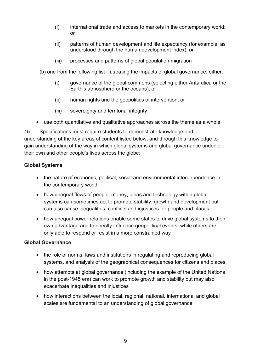- (i) international trade and access to markets in the contemporary world; or
- (ii) patterns of human development and life expectancy (for example, as understood through the human development index); or
- (iii) processes and patterns of global population migration

(b) one from the following list illustrating the impacts of global governance; either:

- (i) governance of the global commons (selecting either Antarctica or the Earth's atmosphere or the oceans); or
- (ii) human rights and the geopolitics of intervention; or
- (iii) sovereignty and territorial integrity
- use both quantitative and qualitative approaches across the theme as a whole

15. Specifications must require students to demonstrate knowledge and understanding of the key areas of content listed below, and through this knowledge to gain understanding of the way in which global systems and global governance underlie their own and other people's lives across the globe:

#### **Global Systems**

- the nature of economic, political, social and environmental interdependence in the contemporary world
- how unequal flows of people, money, ideas and technology within global systems can sometimes act to promote stability, growth and development but can also cause inequalities, conflicts and injustices for people and places
- how unequal power relations enable some states to drive global systems to their own advantage and to directly influence geopolitical events, while others are only able to respond or resist in a more constrained way

#### **Global Governance**

- the role of norms, laws and institutions in regulating and reproducing global systems, and analysis of the geographical consequences for citizens and places
- how attempts at global governance (including the example of the United Nations in the post-1945 era) can work to promote growth and stability but may also exacerbate inequalities and injustices
- how interactions between the local, regional, national, international and global scales are fundamental to an understanding of global governance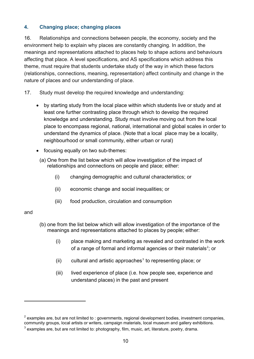#### **4. Changing place; changing places**

16. Relationships and connections between people, the economy, society and the environment help to explain why places are constantly changing. In addition, the meanings and representations attached to places help to shape actions and behaviours affecting that place. A level specifications, and AS specifications which address this theme, must require that students undertake study of the way in which these factors (relationships, connections, meaning, representation) affect continuity and change in the nature of places and our understanding of place.

- 17. Study must develop the required knowledge and understanding:
	- by starting study from the local place within which students live or study and at least one further contrasting place through which to develop the required knowledge and understanding. Study must involve moving out from the local place to encompass regional, national, international and global scales in order to understand the dynamics of place. (Note that a local place may be a locality, neighbourhood or small community, either urban or rural)
	- focusing equally on two sub-themes:
	- (a) One from the list below which will allow investigation of the impact of relationships and connections on people and place; either:
		- (i) changing demographic and cultural characteristics; or
		- (ii) economic change and social inequalities; or
		- (iii) food production, circulation and consumption

#### and

 $\overline{a}$ 

- (b) one from the list below which will allow investigation of the importance of the meanings and representations attached to places by people; either:
	- (i) place making and marketing as revealed and contrasted in the work of a range of formal and informal agencies or their materials<sup>[2](#page-19-0)</sup>; or
	- $(ii)$  cultural and artistic approaches<sup>[3](#page-19-1)</sup> to representing place; or
	- (iii) lived experience of place (i.e. how people see, experience and understand places) in the past and present

<span id="page-19-0"></span> $2$  examples are, but are not limited to : governments, regional development bodies, investment companies, community groups, local artists or writers, campaign materials, local museum and gallery exhibitions.

<span id="page-19-1"></span> $3$  examples are, but are not limited to: photography, film, music, art, literature, poetry, drama.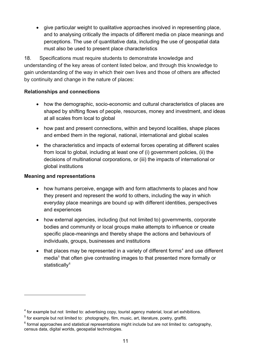• give particular weight to qualitative approaches involved in representing place, and to analysing critically the impacts of different media on place meanings and perceptions. The use of quantitative data, including the use of geospatial data must also be used to present place characteristics

18. Specifications must require students to demonstrate knowledge and understanding of the key areas of content listed below, and through this knowledge to gain understanding of the way in which their own lives and those of others are affected by continuity and change in the nature of places:

#### **Relationships and connections**

- how the demographic, socio-economic and cultural characteristics of places are shaped by shifting flows of people, resources, money and investment, and ideas at all scales from local to global
- how past and present connections, within and beyond localities, shape places and embed them in the regional, national, international and global scales
- the characteristics and impacts of external forces operating at different scales from local to global, including at least one of (i) government policies, (ii) the decisions of multinational corporations, or (iii) the impacts of international or global institutions

#### **Meaning and representations**

 $\overline{a}$ 

- how humans perceive, engage with and form attachments to places and how they present and represent the world to others, including the way in which everyday place meanings are bound up with different identities, perspectives and experiences
- how external agencies, including (but not limited to) governments, corporate bodies and community or local groups make attempts to influence or create specific place-meanings and thereby shape the actions and behaviours of individuals, groups, businesses and institutions
- that places may be represented in a variety of different forms<sup>4</sup> and use different media<sup>5</sup> that often give contrasting images to that presented more formally or statistically<sup>[6](#page-20-2)</sup>

<span id="page-20-0"></span><sup>&</sup>lt;sup>4</sup> for example but not limited to: advertising copy, tourist agency material, local art exhibitions.

<span id="page-20-1"></span> $5$  for example but not limited to: photography, film, music, art, literature, poetry, graffiti.

<span id="page-20-2"></span> $^6$  formal approaches and statistical representations might include but are not limited to: cartography, census data, digital worlds, geospatial technologies.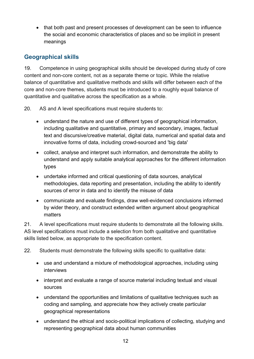• that both past and present processes of development can be seen to influence the social and economic characteristics of places and so be implicit in present meanings

#### <span id="page-21-0"></span>**Geographical skills**

19. Competence in using geographical skills should be developed during study of core content and non-core content, not as a separate theme or topic. While the relative balance of quantitative and qualitative methods and skills will differ between each of the core and non-core themes, students must be introduced to a roughly equal balance of quantitative and qualitative across the specification as a whole.

20. AS and A level specifications must require students to:

- understand the nature and use of different types of geographical information, including qualitative and quantitative, primary and secondary, images, factual text and discursive/creative material, digital data, numerical and spatial data and innovative forms of data, including crowd-sourced and 'big data'
- collect, analyse and interpret such information, and demonstrate the ability to understand and apply suitable analytical approaches for the different information types
- undertake informed and critical questioning of data sources, analytical methodologies, data reporting and presentation, including the ability to identify sources of error in data and to identify the misuse of data
- communicate and evaluate findings, draw well-evidenced conclusions informed by wider theory, and construct extended written argument about geographical matters

21. A level specifications must require students to demonstrate all the following skills. AS level specifications must include a selection from both qualitative and quantitative skills listed below, as appropriate to the specification content.

22. Students must demonstrate the following skills specific to qualitative data:

- use and understand a mixture of methodological approaches, including using interviews
- interpret and evaluate a range of source material including textual and visual sources
- understand the opportunities and limitations of qualitative techniques such as coding and sampling, and appreciate how they actively create particular geographical representations
- understand the ethical and socio-political implications of collecting, studying and representing geographical data about human communities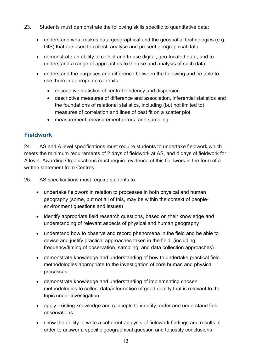- 23. Students must demonstrate the following skills specific to quantitative data:
	- understand what makes data geographical and the geospatial technologies (e.g. GIS) that are used to collect, analyse and present geographical data
	- demonstrate an ability to collect and to use digital, geo-located data, and to understand a range of approaches to the use and analysis of such data;
	- understand the purposes and difference between the following and be able to use them in appropriate contexts:
		- descriptive statistics of central tendency and dispersion
		- descriptive measures of difference and association, inferential statistics and the foundations of relational statistics, including (but not limited to) measures of correlation and lines of best fit on a scatter plot
		- measurement, measurement errors, and sampling

#### <span id="page-22-0"></span>**Fieldwork**

24. AS and A level specifications must require students to undertake fieldwork which meets the minimum requirements of 2 days of fieldwork at AS, and 4 days of fieldwork for A level. Awarding Organisations must require evidence of this fieldwork in the form of a written statement from Centres.

25. AS specifications must require students to:

- undertake fieldwork in relation to processes in both physical and human geography (some, but not all of this, may be within the context of peopleenvironment questions and issues)
- identify appropriate field research questions, based on their knowledge and understanding of relevant aspects of physical and human geography
- understand how to observe and record phenomena in the field and be able to devise and justify practical approaches taken in the field, (including frequency/timing of observation, sampling, and data collection approaches)
- demonstrate knowledge and understanding of how to undertake practical field methodologies appropriate to the investigation of core human and physical processes
- demonstrate knowledge and understanding of implementing chosen methodologies to collect data/information of good quality that is relevant to the topic under investigation
- apply existing knowledge and concepts to identify, order and understand field observations
- show the ability to write a coherent analysis of fieldwork findings and results in order to answer a specific geographical question and to justify conclusions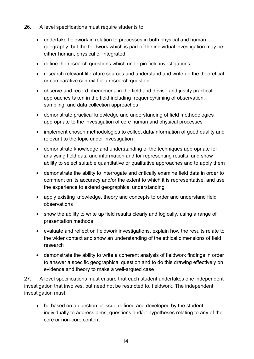- 26. A level specifications must require students to:
	- undertake fieldwork in relation to processes in both physical and human geography, but the fieldwork which is part of the individual investigation may be either human, physical or integrated
	- define the research questions which underpin field investigations
	- research relevant literature sources and understand and write up the theoretical or comparative context for a research question
	- observe and record phenomena in the field and devise and justify practical approaches taken in the field including frequency/timing of observation, sampling, and data collection approaches
	- demonstrate practical knowledge and understanding of field methodologies appropriate to the investigation of core human and physical processes
	- implement chosen methodologies to collect data/information of good quality and relevant to the topic under investigation
	- demonstrate knowledge and understanding of the techniques appropriate for analysing field data and information and for representing results, and show ability to select suitable quantitative or qualitative approaches and to apply them
	- demonstrate the ability to interrogate and critically examine field data in order to comment on its accuracy and/or the extent to which it is representative, and use the experience to extend geographical understanding
	- apply existing knowledge, theory and concepts to order and understand field observations
	- show the ability to write up field results clearly and logically, using a range of presentation methods
	- evaluate and reflect on fieldwork investigations, explain how the results relate to the wider context and show an understanding of the ethical dimensions of field research
	- demonstrate the ability to write a coherent analysis of fieldwork findings in order to answer a specific geographical question and to do this drawing effectively on evidence and theory to make a well-argued case

27. A level specifications must ensure that each student undertakes one independent investigation that involves, but need not be restricted to, fieldwork. The independent investigation must:

• be based on a question or issue defined and developed by the student individually to address aims, questions and/or hypotheses relating to any of the core or non-core content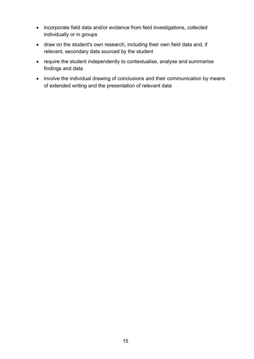- incorporate field data and/or evidence from field investigations, collected individually or in groups
- draw on the student's own research, including their own field data and, if relevant, secondary data sourced by the student
- require the student independently to contextualise, analyse and summarise findings and data
- involve the individual drawing of conclusions and their communication by means of extended writing and the presentation of relevant data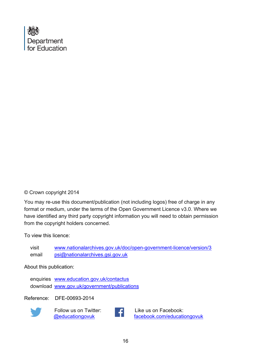

#### © Crown copyright 2014

You may re-use this document/publication (not including logos) free of charge in any format or medium, under the terms of the Open Government Licence v3.0. Where we have identified any third party copyright information you will need to obtain permission from the copyright holders concerned.

To view this licence:

visit [www.nationalarchives.gov.uk/doc/open-government-licence/version/3](http://www.nationalarchives.gov.uk/doc/open-government-licence/version/2) email [psi@nationalarchives.gsi.gov.uk](mailto:psi@nationalarchives.gsi.gov.uk)

About this publication:

enquiries [www.education.gov.uk/contactus](http://www.education.gov.uk/contactus)  download [www.gov.uk/government/publications](http://www.gov.uk/government/publications) 

Reference: DFE-00693-2014



 Follow us on Twitter: [@educationgovuk](http://twitter.com/educationgovuk)



Like us on Facebook: [facebook.com/educationgovuk](http://www.facebook.com/educationgovuk)